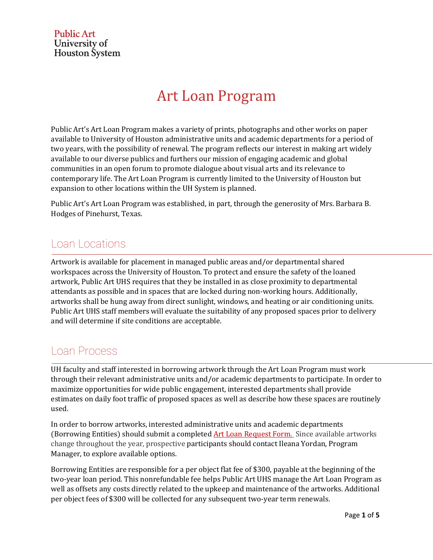**Public Art** University of **Houston** System

# **Art Loan Program**

Public Art's Art Loan Program makes a variety of prints, photographs and other works on paper available to University of Houston administrative units and academic departments for a period of two years, with the possibility of renewal. The program reflects our interest in making art widely available to our diverse publics and furthers our mission of engaging academic and global communities in an open forum to promote dialogue about visual arts and its relevance to contemporary life. The Art Loan Program is currently limited to the University of Houston but expansion to other locations within the UH System is planned.

Public Art's Art Loan Program was established, in part, through the generosity of Mrs. Barbara B. Hodges of Pinehurst, Texas.

# Loan Locations

Artwork is available for placement in managed public areas and/or departmental shared workspaces across the University of Houston. To protect and ensure the safety of the loaned artwork, Public Art UHS requires that they be installed in as close proximity to departmental attendants as possible and in spaces that are locked during non-working hours. Additionally, artworks shall be hung away from direct sunlight, windows, and heating or air conditioning units. Public Art UHS staff members will evaluate the suitability of any proposed spaces prior to delivery and will determine if site conditions are acceptable.

# Loan Process

UH faculty and staff interested in borrowing artwork through the Art Loan Program must work through their relevant administrative units and/or academic departments to participate. In order to maximize opportunities for wide public engagement, interested departments shall provide estimates on daily foot traffic of proposed spaces as well as describe how these spaces are routinely used.

In order to borrow artworks, interested administrative units and academic departments (Borrowing Entities) should submit a completed Art Loan Request Form. Since available artworks change throughout the year, prospective participants should contact Ileana Yordan, Program Manager, to explore available options.

Borrowing Entities are responsible for a per object flat fee of \$300, payable at the beginning of the two-year loan period. This nonrefundable fee helps Public Art UHS manage the Art Loan Program as well as offsets any costs directly related to the upkeep and maintenance of the artworks. Additional per object fees of \$300 will be collected for any subsequent two-year term renewals.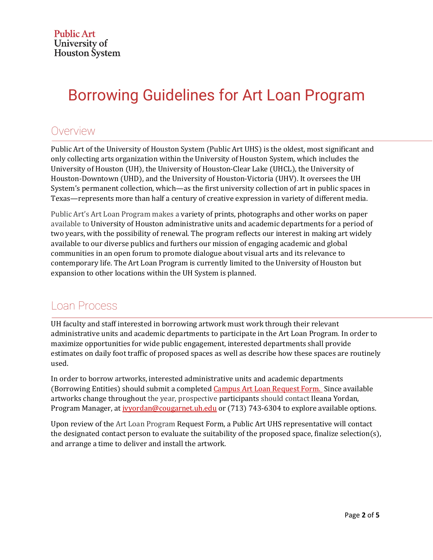# Borrowing Guidelines for Art Loan Program

# Overview

Public Art of the University of Houston System (Public Art UHS) is the oldest, most significant and only collecting arts organization within the University of Houston System, which includes the University of Houston (UH), the University of Houston-Clear Lake (UHCL), the University of Houston-Downtown (UHD), and the University of Houston-Victoria (UHV). It oversees the UH System's permanent collection, which—as the first university collection of art in public spaces in Texas—represents more than half a century of creative expression in variety of different media.

Public Art's Art Loan Program makes a variety of prints, photographs and other works on paper available to University of Houston administrative units and academic departments for a period of two years, with the possibility of renewal. The program reflects our interest in making art widely available to our diverse publics and furthers our mission of engaging academic and global communities in an open forum to promote dialogue about visual arts and its relevance to contemporary life. The Art Loan Program is currently limited to the University of Houston but expansion to other locations within the UH System is planned.

# Loan Process

UH faculty and staff interested in borrowing artwork must work through their relevant administrative units and academic departments to participate in the Art Loan Program. In order to maximize opportunities for wide public engagement, interested departments shall provide estimates on daily foot traffic of proposed spaces as well as describe how these spaces are routinely used.

In order to borrow artworks, interested administrative units and academic departments (Borrowing Entities) should submit a completed Campus Art Loan Request Form. Since available artworks change throughout the year, prospective participants should contact Ileana Yordan, Program Manager, at *ivyordan@cougarnet.uh.edu* or (713) 743-6304 to explore available options.

Upon review of the Art Loan Program Request Form, a Public Art UHS representative will contact the designated contact person to evaluate the suitability of the proposed space, finalize selection(s), and arrange a time to deliver and install the artwork.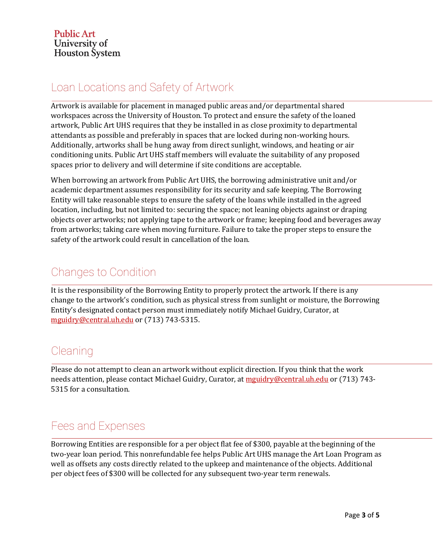# Loan Locations and Safety of Artwork

 $\overline{\text{Artwork}}$  is available for placement in managed public areas and/or departmental shared workspaces across the University of Houston. To protect and ensure the safety of the loaned artwork, Public Art UHS requires that they be installed in as close proximity to departmental attendants as possible and preferably in spaces that are locked during non-working hours. Additionally, artworks shall be hung away from direct sunlight, windows, and heating or air conditioning units. Public Art UHS staff members will evaluate the suitability of any proposed spaces prior to delivery and will determine if site conditions are acceptable.

When borrowing an artwork from Public Art UHS, the borrowing administrative unit and/or academic department assumes responsibility for its security and safe keeping. The Borrowing Entity will take reasonable steps to ensure the safety of the loans while installed in the agreed location, including, but not limited to: securing the space; not leaning objects against or draping objects over artworks; not applying tape to the artwork or frame; keeping food and beverages away from artworks; taking care when moving furniture. Failure to take the proper steps to ensure the safety of the artwork could result in cancellation of the loan.

# Changes to Condition

It is the responsibility of the Borrowing Entity to properly protect the artwork. If there is any change to the artwork's condition, such as physical stress from sunlight or moisture, the Borrowing Entity's designated contact person must immediately notify Michael Guidry, Curator, at mguidry@central.uh.edu or (713) 743-5315.

# **Cleaning**

Please do not attempt to clean an artwork without explicit direction. If you think that the work needs attention, please contact Michael Guidry, Curator, at mguidry@central.uh.edu or (713) 743-5315 for a consultation.

# Fees and Expenses

Borrowing Entities are responsible for a per object flat fee of \$300, payable at the beginning of the two-year loan period. This nonrefundable fee helps Public Art UHS manage the Art Loan Program as well as offsets any costs directly related to the upkeep and maintenance of the objects. Additional per object fees of \$300 will be collected for any subsequent two-year term renewals.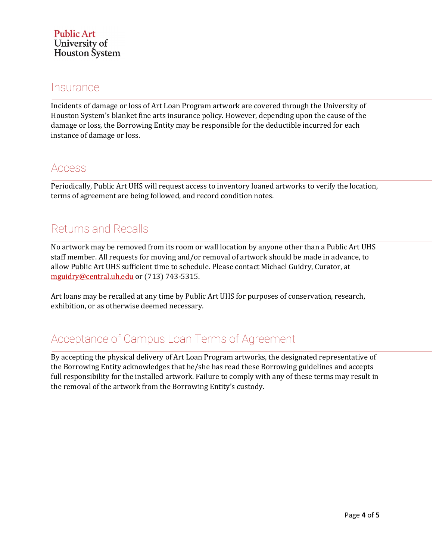#### **Insurance**

Incidents of damage or loss of Art Loan Program artwork are covered through the University of Houston System's blanket fine arts insurance policy. However, depending upon the cause of the damage or loss, the Borrowing Entity may be responsible for the deductible incurred for each instance of damage or loss.

### Access

Periodically, Public Art UHS will request access to inventory loaned artworks to verify the location, terms of agreement are being followed, and record condition notes.

# Returns and Recalls

No artwork may be removed from its room or wall location by anyone other than a Public Art UHS staff member. All requests for moving and/or removal of artwork should be made in advance, to allow Public Art UHS sufficient time to schedule. Please contact Michael Guidry, Curator, at mguidry@central.uh.edu or (713) 743-5315.

Art loans may be recalled at any time by Public Art UHS for purposes of conservation, research, exhibition, or as otherwise deemed necessary.

# Acceptance of Campus Loan Terms of Agreement

By accepting the physical delivery of Art Loan Program artworks, the designated representative of the Borrowing Entity acknowledges that he/she has read these Borrowing guidelines and accepts full responsibility for the installed artwork. Failure to comply with any of these terms may result in the removal of the artwork from the Borrowing Entity's custody.